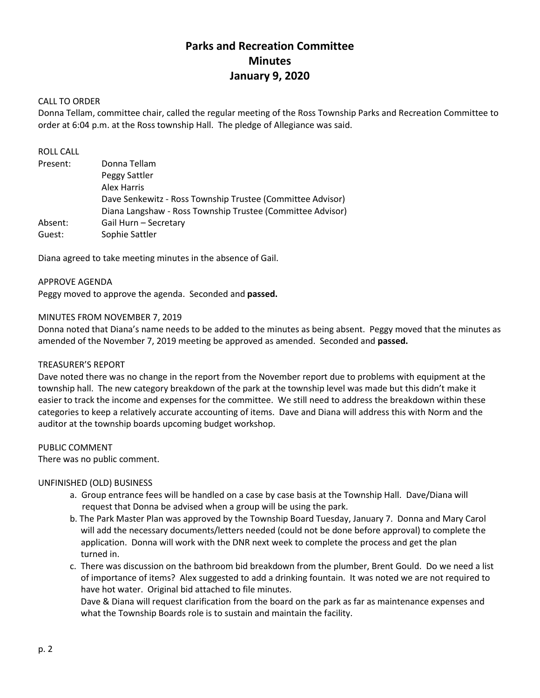# **Parks and Recreation Committee Minutes January 9, 2020**

## CALL TO ORDER

Donna Tellam, committee chair, called the regular meeting of the Ross Township Parks and Recreation Committee to order at 6:04 p.m. at the Ross township Hall. The pledge of Allegiance was said.

## ROLL CALL

| Present: | Donna Tellam                                               |
|----------|------------------------------------------------------------|
|          | Peggy Sattler                                              |
|          | Alex Harris                                                |
|          | Dave Senkewitz - Ross Township Trustee (Committee Advisor) |
|          | Diana Langshaw - Ross Township Trustee (Committee Advisor) |
| Absent:  | Gail Hurn - Secretary                                      |
| Guest:   | Sophie Sattler                                             |

Diana agreed to take meeting minutes in the absence of Gail.

APPROVE AGENDA Peggy moved to approve the agenda. Seconded and **passed.**

### MINUTES FROM NOVEMBER 7, 2019

Donna noted that Diana's name needs to be added to the minutes as being absent. Peggy moved that the minutes as amended of the November 7, 2019 meeting be approved as amended. Seconded and **passed.**

#### TREASURER'S REPORT

Dave noted there was no change in the report from the November report due to problems with equipment at the township hall. The new category breakdown of the park at the township level was made but this didn't make it easier to track the income and expenses for the committee. We still need to address the breakdown within these categories to keep a relatively accurate accounting of items. Dave and Diana will address this with Norm and the auditor at the township boards upcoming budget workshop.

#### PUBLIC COMMENT

There was no public comment.

#### UNFINISHED (OLD) BUSINESS

- a. Group entrance fees will be handled on a case by case basis at the Township Hall. Dave/Diana will request that Donna be advised when a group will be using the park.
- b. The Park Master Plan was approved by the Township Board Tuesday, January 7. Donna and Mary Carol will add the necessary documents/letters needed (could not be done before approval) to complete the application. Donna will work with the DNR next week to complete the process and get the plan turned in.
- c. There was discussion on the bathroom bid breakdown from the plumber, Brent Gould. Do we need a list of importance of items? Alex suggested to add a drinking fountain. It was noted we are not required to have hot water. Original bid attached to file minutes.

 Dave & Diana will request clarification from the board on the park as far as maintenance expenses and what the Township Boards role is to sustain and maintain the facility.